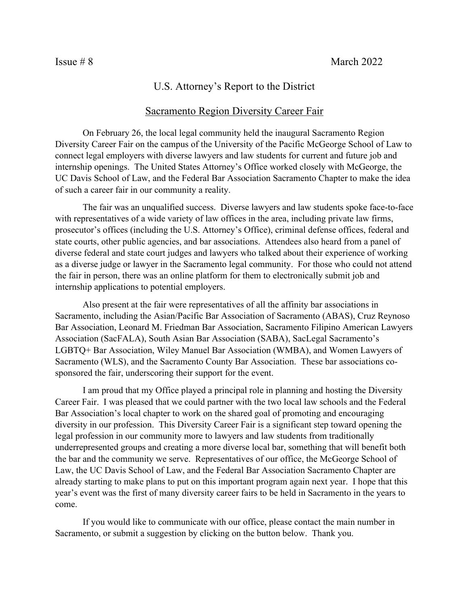## U.S. Attorney's Report to the District

## Sacramento Region Diversity Career Fair

On February 26, the local legal community held the inaugural Sacramento Region Diversity Career Fair on the campus of the University of the Pacific McGeorge School of Law to connect legal employers with diverse lawyers and law students for current and future job and internship openings. The United States Attorney's Office worked closely with McGeorge, the UC Davis School of Law, and the Federal Bar Association Sacramento Chapter to make the idea of such a career fair in our community a reality.

The fair was an unqualified success. Diverse lawyers and law students spoke face-to-face with representatives of a wide variety of law offices in the area, including private law firms, prosecutor's offices (including the U.S. Attorney's Office), criminal defense offices, federal and state courts, other public agencies, and bar associations. Attendees also heard from a panel of diverse federal and state court judges and lawyers who talked about their experience of working as a diverse judge or lawyer in the Sacramento legal community. For those who could not attend the fair in person, there was an online platform for them to electronically submit job and internship applications to potential employers.

Also present at the fair were representatives of all the affinity bar associations in Sacramento, including the Asian/Pacific Bar Association of Sacramento (ABAS), Cruz Reynoso Bar Association, Leonard M. Friedman Bar Association, Sacramento Filipino American Lawyers Association (SacFALA), South Asian Bar Association (SABA), SacLegal Sacramento's LGBTQ+ Bar Association, Wiley Manuel Bar Association (WMBA), and Women Lawyers of Sacramento (WLS), and the Sacramento County Bar Association. These bar associations cosponsored the fair, underscoring their support for the event.

I am proud that my Office played a principal role in planning and hosting the Diversity Career Fair. I was pleased that we could partner with the two local law schools and the Federal Bar Association's local chapter to work on the shared goal of promoting and encouraging diversity in our profession. This Diversity Career Fair is a significant step toward opening the legal profession in our community more to lawyers and law students from traditionally underrepresented groups and creating a more diverse local bar, something that will benefit both the bar and the community we serve. Representatives of our office, the McGeorge School of Law, the UC Davis School of Law, and the Federal Bar Association Sacramento Chapter are already starting to make plans to put on this important program again next year. I hope that this year's event was the first of many diversity career fairs to be held in Sacramento in the years to come.

If you would like to communicate with our office, please contact the main number in Sacramento, or submit a suggestion by clicking on the button below. Thank you.